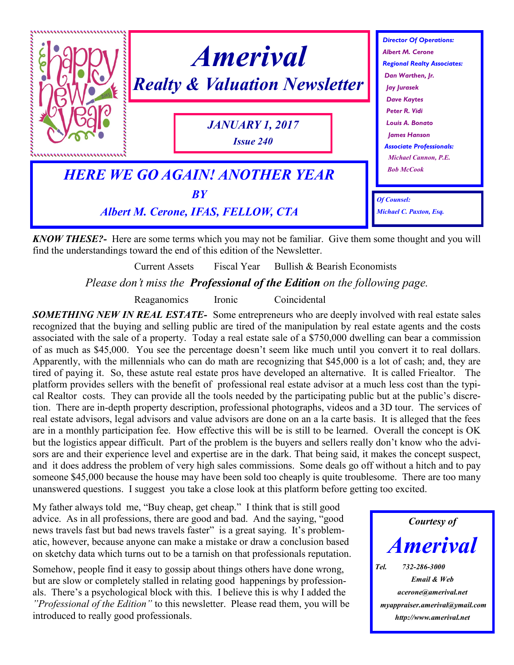

*KNOW THESE?-* Here are some terms which you may not be familiar. Give them some thought and you will find the understandings toward the end of this edition of the Newsletter.

Current Assets Fiscal Year Bullish & Bearish Economists

*Please don't miss the Professional of the Edition on the following page.*

Reaganomics Ironic Coincidental

*SOMETHING NEW IN REAL ESTATE-* Some entrepreneurs who are deeply involved with real estate sales recognized that the buying and selling public are tired of the manipulation by real estate agents and the costs associated with the sale of a property. Today a real estate sale of a \$750,000 dwelling can bear a commission of as much as \$45,000. You see the percentage doesn't seem like much until you convert it to real dollars. Apparently, with the millennials who can do math are recognizing that \$45,000 is a lot of cash; and, they are tired of paying it. So, these astute real estate pros have developed an alternative. It is called Friealtor. The platform provides sellers with the benefit of professional real estate advisor at a much less cost than the typical Realtor costs. They can provide all the tools needed by the participating public but at the public's discretion. There are in-depth property description, professional photographs, videos and a 3D tour. The services of real estate advisors, legal advisors and value advisors are done on an a la carte basis. It is alleged that the fees are in a monthly participation fee. How effective this will be is still to be learned. Overall the concept is OK but the logistics appear difficult. Part of the problem is the buyers and sellers really don't know who the advisors are and their experience level and expertise are in the dark. That being said, it makes the concept suspect, and it does address the problem of very high sales commissions. Some deals go off without a hitch and to pay someone \$45,000 because the house may have been sold too cheaply is quite troublesome. There are too many unanswered questions. I suggest you take a close look at this platform before getting too excited.

My father always told me, "Buy cheap, get cheap." I think that is still good advice. As in all professions, there are good and bad. And the saying, "good news travels fast but bad news travels faster" is a great saying. It's problematic, however, because anyone can make a mistake or draw a conclusion based on sketchy data which turns out to be a tarnish on that professionals reputation.

Somehow, people find it easy to gossip about things others have done wrong, but are slow or completely stalled in relating good happenings by professionals. There's a psychological block with this. I believe this is why I added the *"Professional of the Edition"* to this newsletter. Please read them, you will be introduced to really good professionals.